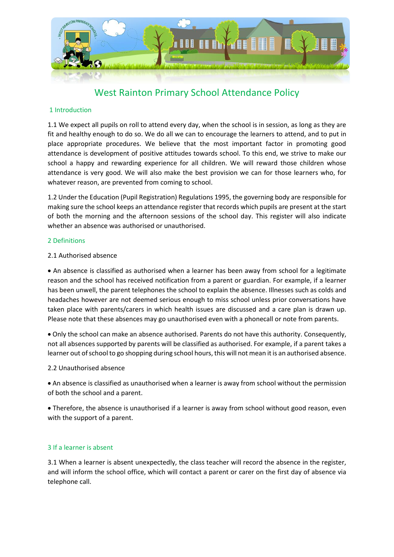

# West Rainton Primary School Attendance Policy

# 1 Introduction

1.1 We expect all pupils on roll to attend every day, when the school is in session, as long as they are fit and healthy enough to do so. We do all we can to encourage the learners to attend, and to put in place appropriate procedures. We believe that the most important factor in promoting good attendance is development of positive attitudes towards school. To this end, we strive to make our school a happy and rewarding experience for all children. We will reward those children whose attendance is very good. We will also make the best provision we can for those learners who, for whatever reason, are prevented from coming to school.

1.2 Under the Education (Pupil Registration) Regulations 1995, the governing body are responsible for making sure the school keeps an attendance register that records which pupils are present at the start of both the morning and the afternoon sessions of the school day. This register will also indicate whether an absence was authorised or unauthorised.

## 2 Definitions

## 2.1 Authorised absence

 An absence is classified as authorised when a learner has been away from school for a legitimate reason and the school has received notification from a parent or guardian. For example, if a learner has been unwell, the parent telephones the school to explain the absence. Illnesses such as colds and headaches however are not deemed serious enough to miss school unless prior conversations have taken place with parents/carers in which health issues are discussed and a care plan is drawn up. Please note that these absences may go unauthorised even with a phonecall or note from parents.

 Only the school can make an absence authorised. Parents do not have this authority. Consequently, not all absences supported by parents will be classified as authorised. For example, if a parent takes a learner out of school to go shopping during school hours, this will not mean it is an authorised absence.

# 2.2 Unauthorised absence

 An absence is classified as unauthorised when a learner is away from school without the permission of both the school and a parent.

 Therefore, the absence is unauthorised if a learner is away from school without good reason, even with the support of a parent.

# 3 If a learner is absent

3.1 When a learner is absent unexpectedly, the class teacher will record the absence in the register, and will inform the school office, which will contact a parent or carer on the first day of absence via telephone call.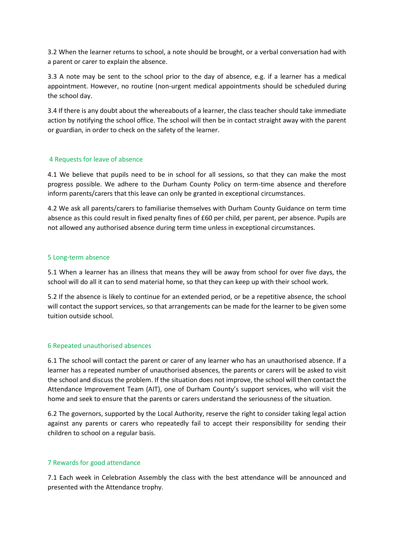3.2 When the learner returns to school, a note should be brought, or a verbal conversation had with a parent or carer to explain the absence.

3.3 A note may be sent to the school prior to the day of absence, e.g. if a learner has a medical appointment. However, no routine (non-urgent medical appointments should be scheduled during the school day.

3.4 If there is any doubt about the whereabouts of a learner, the class teacher should take immediate action by notifying the school office. The school will then be in contact straight away with the parent or guardian, in order to check on the safety of the learner.

## 4 Requests for leave of absence

4.1 We believe that pupils need to be in school for all sessions, so that they can make the most progress possible. We adhere to the Durham County Policy on term-time absence and therefore inform parents/carers that this leave can only be granted in exceptional circumstances.

4.2 We ask all parents/carers to familiarise themselves with Durham County Guidance on term time absence as this could result in fixed penalty fines of £60 per child, per parent, per absence. Pupils are not allowed any authorised absence during term time unless in exceptional circumstances.

## 5 Long-term absence

5.1 When a learner has an illness that means they will be away from school for over five days, the school will do all it can to send material home, so that they can keep up with their school work.

5.2 If the absence is likely to continue for an extended period, or be a repetitive absence, the school will contact the support services, so that arrangements can be made for the learner to be given some tuition outside school.

#### 6 Repeated unauthorised absences

6.1 The school will contact the parent or carer of any learner who has an unauthorised absence. If a learner has a repeated number of unauthorised absences, the parents or carers will be asked to visit the school and discuss the problem. If the situation does not improve, the school will then contact the Attendance Improvement Team (AIT), one of Durham County's support services, who will visit the home and seek to ensure that the parents or carers understand the seriousness of the situation.

6.2 The governors, supported by the Local Authority, reserve the right to consider taking legal action against any parents or carers who repeatedly fail to accept their responsibility for sending their children to school on a regular basis.

#### 7 Rewards for good attendance

7.1 Each week in Celebration Assembly the class with the best attendance will be announced and presented with the Attendance trophy.